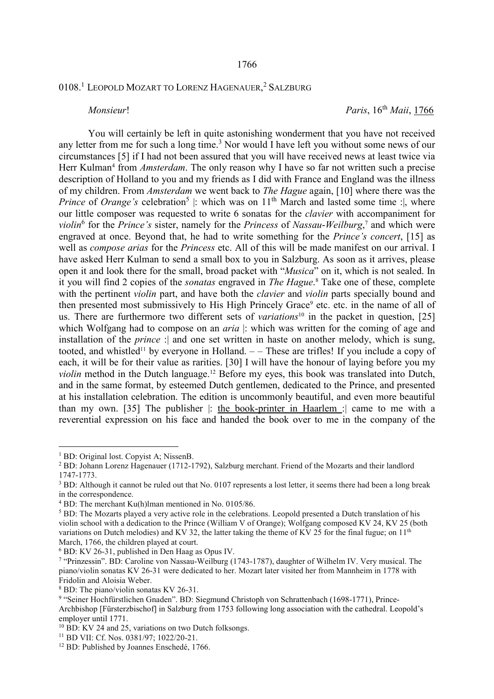## 0108.<sup>1</sup> Leopold Mozart to Lorenz Hagenauer,<sup>2</sup> Salzburg

*Monsieur*! *Paris*, 16<sup>th</sup> *Maii*, 1766

 You will certainly be left in quite astonishing wonderment that you have not received any letter from me for such a long time.<sup>3</sup> Nor would I have left you without some news of our circumstances [5] if I had not been assured that you will have received news at least twice via Herr Kulman<sup>4</sup> from *Amsterdam*. The only reason why I have so far not written such a precise description of Holland to you and my friends as I did with France and England was the illness of my children. From *Amsterdam* we went back to *The Hague* again, [10] where there was the *Prince* of *Orange's* celebration<sup>5</sup> : which was on  $11<sup>th</sup>$  March and lasted some time : where our little composer was requested to write 6 sonatas for the *clavier* with accompaniment for *violin*<sup>6</sup> for the *Prince's* sister, namely for the *Princess* of *Nassau*-*Weilburg*, 7 and which were engraved at once. Beyond that, he had to write something for the *Prince's concert*, [15] as well as *compose arias* for the *Princess* etc. All of this will be made manifest on our arrival. I have asked Herr Kulman to send a small box to you in Salzburg. As soon as it arrives, please open it and look there for the small, broad packet with "*Musica*" on it, which is not sealed. In it you will find 2 copies of the *sonatas* engraved in *The Hague*. 8 Take one of these, complete with the pertinent *violin* part, and have both the *clavier* and *violin* parts specially bound and then presented most submissively to His High Princely Grace<sup>9</sup> etc. etc. in the name of all of us. There are furthermore two different sets of *variations*<sup>10</sup> in the packet in question, [25] which Wolfgang had to compose on an *aria* : which was written for the coming of age and installation of the *prince* : and one set written in haste on another melody, which is sung, tooted, and whistled<sup>11</sup> by everyone in Holland.  $-$  These are trifles! If you include a copy of each, it will be for their value as rarities. [30] I will have the honour of laying before you my *violin* method in the Dutch language.<sup>12</sup> Before my eyes, this book was translated into Dutch, and in the same format, by esteemed Dutch gentlemen, dedicated to the Prince, and presented at his installation celebration. The edition is uncommonly beautiful, and even more beautiful than my own. [35] The publisher |: the book-printer in Haarlem :| came to me with a reverential expression on his face and handed the book over to me in the company of the

 $\overline{a}$ 

<sup>&</sup>lt;sup>1</sup> BD: Original lost. Copyist A; NissenB.

<sup>&</sup>lt;sup>2</sup> BD: Johann Lorenz Hagenauer (1712-1792), Salzburg merchant. Friend of the Mozarts and their landlord 1747-1773.

<sup>&</sup>lt;sup>3</sup> BD: Although it cannot be ruled out that No. 0107 represents a lost letter, it seems there had been a long break in the correspondence.

<sup>4</sup> BD: The merchant Ku(h)lman mentioned in No. 0105/86.

<sup>5</sup> BD: The Mozarts played a very active role in the celebrations. Leopold presented a Dutch translation of his violin school with a dedication to the Prince (William V of Orange); Wolfgang composed KV 24, KV 25 (both variations on Dutch melodies) and KV 32, the latter taking the theme of KV 25 for the final fugue; on  $11<sup>th</sup>$ March, 1766, the children played at court.

<sup>6</sup> BD: KV 26-31, published in Den Haag as Opus IV.

<sup>&</sup>lt;sup>7</sup> "Prinzessin". BD: Caroline von Nassau-Weilburg (1743-1787), daughter of Wilhelm IV. Very musical. The piano/violin sonatas KV 26-31 were dedicated to her. Mozart later visited her from Mannheim in 1778 with Fridolin and Aloisia Weber.

<sup>8</sup> BD: The piano/violin sonatas KV 26-31.

<sup>&</sup>lt;sup>9</sup> "Seiner Hochfürstlichen Gnaden". BD: Siegmund Christoph von Schrattenbach (1698-1771), Prince-Archbishop [Fürsterzbischof] in Salzburg from 1753 following long association with the cathedral. Leopold's employer until 1771.

<sup>&</sup>lt;sup>10</sup> BD: KV 24 and 25, variations on two Dutch folksongs.

<sup>11</sup> BD VII: Cf. Nos. 0381/97; 1022/20-21.

<sup>&</sup>lt;sup>12</sup> BD: Published by Joannes Enschedé, 1766.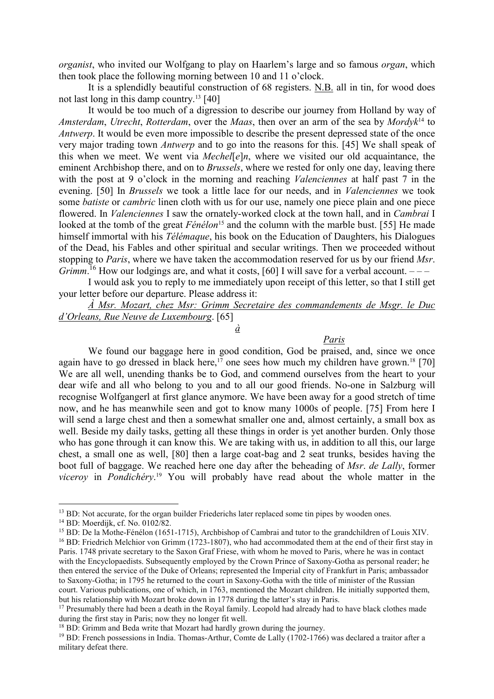*organist*, who invited our Wolfgang to play on Haarlem's large and so famous *organ*, which then took place the following morning between 10 and 11 o'clock.

 It is a splendidly beautiful construction of 68 registers. N.B. all in tin, for wood does not last long in this damp country.<sup>13</sup> [40]

 It would be too much of a digression to describe our journey from Holland by way of *Amsterdam*, *Utrecht*, *Rotterdam*, over the *Maas*, then over an arm of the sea by *Mordyk*<sup>14</sup> to *Antwerp*. It would be even more impossible to describe the present depressed state of the once very major trading town *Antwerp* and to go into the reasons for this. [45] We shall speak of this when we meet. We went via *Mechel*[*e*]*n*, where we visited our old acquaintance, the eminent Archbishop there, and on to *Brussels*, where we rested for only one day, leaving there with the post at 9 o'clock in the morning and reaching *Valenciennes* at half past 7 in the evening. [50] In *Brussels* we took a little lace for our needs, and in *Valenciennes* we took some *batiste* or *cambric* linen cloth with us for our use, namely one piece plain and one piece flowered. In *Valenciennes* I saw the ornately-worked clock at the town hall, and in *Cambrai* I looked at the tomb of the great *Fénélon*<sup>15</sup> and the column with the marble bust. [55] He made himself immortal with his *Télémaque*, his book on the Education of Daughters, his Dialogues of the Dead, his Fables and other spiritual and secular writings. Then we proceeded without stopping to *Paris*, where we have taken the accommodation reserved for us by our friend *Msr*. *Grimm*.<sup>16</sup> How our lodgings are, and what it costs, [60] I will save for a verbal account.  $---$ 

 I would ask you to reply to me immediately upon receipt of this letter, so that I still get your letter before our departure. Please address it:

*À Msr. Mozart, chez Msr: Grimm Secretaire des commandements de Msgr. le Duc d'Orleans, Rue Neuve de Luxembourg*. [65]

*à* 

## *Paris*

 We found our baggage here in good condition, God be praised, and, since we once again have to go dressed in black here,<sup>17</sup> one sees how much my children have grown.<sup>18</sup> [70] We are all well, unending thanks be to God, and commend ourselves from the heart to your dear wife and all who belong to you and to all our good friends. No-one in Salzburg will recognise Wolfgangerl at first glance anymore. We have been away for a good stretch of time now, and he has meanwhile seen and got to know many 1000s of people. [75] From here I will send a large chest and then a somewhat smaller one and, almost certainly, a small box as well. Beside my daily tasks, getting all these things in order is yet another burden. Only those who has gone through it can know this. We are taking with us, in addition to all this, our large chest, a small one as well, [80] then a large coat-bag and 2 seat trunks, besides having the boot full of baggage. We reached here one day after the beheading of *Msr*. *de Lally*, former *viceroy* in *Pondichéry*. <sup>19</sup> You will probably have read about the whole matter in the

 $\overline{a}$ 

<sup>&</sup>lt;sup>13</sup> BD: Not accurate, for the organ builder Friederichs later replaced some tin pipes by wooden ones.

<sup>14</sup> BD: Moerdijk, cf. No. 0102/82.

<sup>&</sup>lt;sup>15</sup> BD: De la Mothe-Fénélon (1651-1715), Archbishop of Cambrai and tutor to the grandchildren of Louis XIV.

<sup>&</sup>lt;sup>16</sup> BD: Friedrich Melchior von Grimm (1723-1807), who had accommodated them at the end of their first stay in Paris. 1748 private secretary to the Saxon Graf Friese, with whom he moved to Paris, where he was in contact with the Encyclopaedists. Subsequently employed by the Crown Prince of Saxony-Gotha as personal reader; he then entered the service of the Duke of Orleans; represented the Imperial city of Frankfurt in Paris; ambassador to Saxony-Gotha; in 1795 he returned to the court in Saxony-Gotha with the title of minister of the Russian court. Various publications, one of which, in 1763, mentioned the Mozart children. He initially supported them, but his relationship with Mozart broke down in 1778 during the latter's stay in Paris.

 $17$  Presumably there had been a death in the Royal family. Leopold had already had to have black clothes made during the first stay in Paris; now they no longer fit well.

<sup>&</sup>lt;sup>18</sup> BD: Grimm and Beda write that Mozart had hardly grown during the journey.

<sup>&</sup>lt;sup>19</sup> BD: French possessions in India. Thomas-Arthur, Comte de Lally (1702-1766) was declared a traitor after a military defeat there.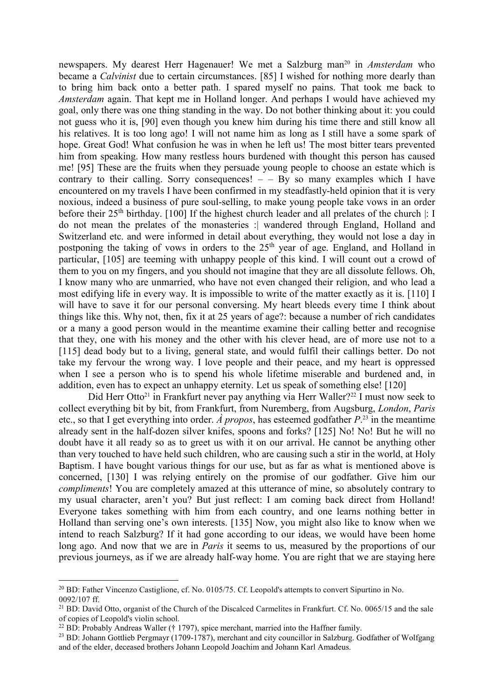newspapers. My dearest Herr Hagenauer! We met a Salzburg man<sup>20</sup> in *Amsterdam* who became a *Calvinist* due to certain circumstances. [85] I wished for nothing more dearly than to bring him back onto a better path. I spared myself no pains. That took me back to *Amsterdam* again. That kept me in Holland longer. And perhaps I would have achieved my goal, only there was one thing standing in the way. Do not bother thinking about it: you could not guess who it is, [90] even though you knew him during his time there and still know all his relatives. It is too long ago! I will not name him as long as I still have a some spark of hope. Great God! What confusion he was in when he left us! The most bitter tears prevented him from speaking. How many restless hours burdened with thought this person has caused me! [95] These are the fruits when they persuade young people to choose an estate which is contrary to their calling. Sorry consequences!  $-$  By so many examples which I have encountered on my travels I have been confirmed in my steadfastly-held opinion that it is very noxious, indeed a business of pure soul-selling, to make young people take vows in an order before their 25<sup>th</sup> birthday. [100] If the highest church leader and all prelates of the church |: I do not mean the prelates of the monasteries :| wandered through England, Holland and Switzerland etc. and were informed in detail about everything, they would not lose a day in postponing the taking of vows in orders to the 25<sup>th</sup> year of age. England, and Holland in particular, [105] are teeming with unhappy people of this kind. I will count out a crowd of them to you on my fingers, and you should not imagine that they are all dissolute fellows. Oh, I know many who are unmarried, who have not even changed their religion, and who lead a most edifying life in every way. It is impossible to write of the matter exactly as it is. [110] I will have to save it for our personal conversing. My heart bleeds every time I think about things like this. Why not, then, fix it at 25 years of age?: because a number of rich candidates or a many a good person would in the meantime examine their calling better and recognise that they, one with his money and the other with his clever head, are of more use not to a [115] dead body but to a living, general state, and would fulfil their callings better. Do not take my fervour the wrong way. I love people and their peace, and my heart is oppressed when I see a person who is to spend his whole lifetime miserable and burdened and, in addition, even has to expect an unhappy eternity. Let us speak of something else! [120]

Did Herr Otto<sup>21</sup> in Frankfurt never pay anything via Herr Waller?<sup>22</sup> I must now seek to collect everything bit by bit, from Frankfurt, from Nuremberg, from Augsburg, *London*, *Paris* etc., so that I get everything into order. *À propos*, has esteemed godfather *P*. <sup>23</sup> in the meantime already sent in the half-dozen silver knifes, spoons and forks? [125] No! No! But he will no doubt have it all ready so as to greet us with it on our arrival. He cannot be anything other than very touched to have held such children, who are causing such a stir in the world, at Holy Baptism. I have bought various things for our use, but as far as what is mentioned above is concerned, [130] I was relying entirely on the promise of our godfather. Give him our *compliments*! You are completely amazed at this utterance of mine, so absolutely contrary to my usual character, aren't you? But just reflect: I am coming back direct from Holland! Everyone takes something with him from each country, and one learns nothing better in Holland than serving one's own interests. [135] Now, you might also like to know when we intend to reach Salzburg? If it had gone according to our ideas, we would have been home long ago. And now that we are in *Paris* it seems to us, measured by the proportions of our previous journeys, as if we are already half-way home. You are right that we are staying here

 $\overline{a}$ <sup>20</sup> BD: Father Vincenzo Castiglione, cf. No. 0105/75. Cf. Leopold's attempts to convert Sipurtino in No. 0092/107 ff.

<sup>&</sup>lt;sup>21</sup> BD: David Otto, organist of the Church of the Discalced Carmelites in Frankfurt. Cf. No. 0065/15 and the sale of copies of Leopold's violin school.

 $22$  BD: Probably Andreas Waller († 1797), spice merchant, married into the Haffner family.

<sup>&</sup>lt;sup>23</sup> BD: Johann Gottlieb Pergmayr (1709-1787), merchant and city councillor in Salzburg. Godfather of Wolfgang and of the elder, deceased brothers Johann Leopold Joachim and Johann Karl Amadeus.